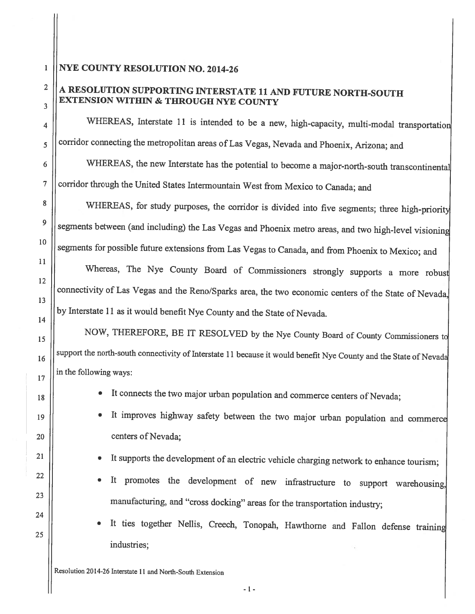## 1 **NYE COUNTY RESOLUTION NO. 2014-26**

## <sup>2</sup>  $\parallel$  A RESOLUTION SUPPORTING INTERSTATE 11 AND FUTURE NORTH-SOUTH  $\mathbf{E}$  | EXTENSION WITHIN & THROUGH NYE COUNTY

 $\vert$  WHEREAS, Interstate 11 is intended to be a new, high-capacity, multi-modal transportation corridor connecting the metropolitan areas of Las Vegas, Nevada and Phoenix, Arizona; and

 $6 \parallel$  WHEREAS, the new Interstate has the potential to become a major-north-south transcontinental  $7 \vert$  corridor through the United States Intermountain West from Mexico to Canada; and

<sup>8</sup> | WHEREAS, for study purposes, the corridor is divided into five segments; three high-priority segments between (and including) the Las Vegas and Phoenix metro areas, and two high-level visioning segments for possible future extensions from Las Vegas to Canada, and from Phoenix to Mexico; and

Whereas, The Nye County Board of Commissioners strongly supports a more robust connectivity of Las Vegas and the Reno/Sparks area, the two economic centers of the State of Nevada, by Interstate 11 as it would benefit Nye County and the State of Nevada.

15 | NOW, THEREFORE, BE IT RESOLVED by the Nye County Board of County Commissioners to  $\|16\|$  support the north-south connectivity of Interstate 11 because it would benefit Nye County and the State of Nevada in the following ways:

- It connects the two major urban population and commerce centers of Nevada;
- <sup>19</sup> It improves highway safety between the two major urban population and commercc 20 | centers of Nevada;
	- It supports the development of an electric vehicle charging network to enhance tourism;
	- It promotes the development of new infrastructure to support warehousing, manufacturing, and "cross docking" areas for the transportation industry;
	- •It ties together Nellis, Creech, Tonopah, Hawthorne and Fallon defense training industries;

Resolution 2014-26 Interstate 11 and North-South Extension